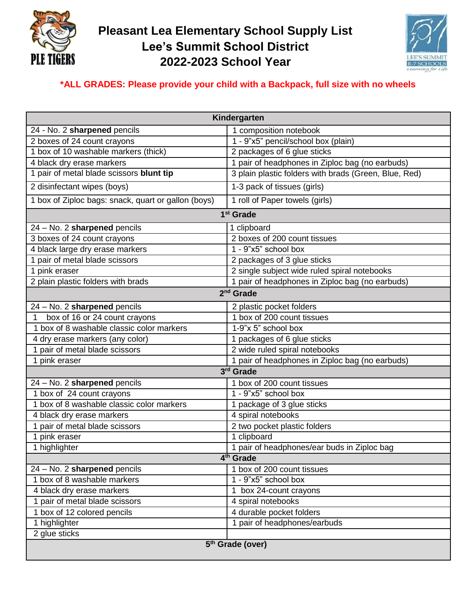

## **Pleasant Lea Elementary School Supply List Lee's Summit School District 2022-2023 School Year**



## **\*ALL GRADES: Please provide your child with a Backpack, full size with no wheels**

| Kindergarten                                        |                                                       |
|-----------------------------------------------------|-------------------------------------------------------|
| 24 - No. 2 sharpened pencils                        | 1 composition notebook                                |
| 2 boxes of 24 count crayons                         | 1 - 9"x5" pencil/school box (plain)                   |
| 1 box of 10 washable markers (thick)                | 2 packages of 6 glue sticks                           |
| 4 black dry erase markers                           | 1 pair of headphones in Ziploc bag (no earbuds)       |
| 1 pair of metal blade scissors blunt tip            | 3 plain plastic folders with brads (Green, Blue, Red) |
| 2 disinfectant wipes (boys)                         | 1-3 pack of tissues (girls)                           |
| 1 box of Ziploc bags: snack, quart or gallon (boys) | 1 roll of Paper towels (girls)                        |
| 1 <sup>st</sup> Grade                               |                                                       |
| 24 - No. 2 sharpened pencils                        | 1 clipboard                                           |
| 3 boxes of 24 count crayons                         | 2 boxes of 200 count tissues                          |
| 4 black large dry erase markers                     | 1 - 9"x5" school box                                  |
| 1 pair of metal blade scissors                      | 2 packages of 3 glue sticks                           |
| 1 pink eraser                                       | 2 single subject wide ruled spiral notebooks          |
| 2 plain plastic folders with brads                  | 1 pair of headphones in Ziploc bag (no earbuds)       |
| 2 <sup>nd</sup> Grade                               |                                                       |
| 24 - No. 2 sharpened pencils                        | 2 plastic pocket folders                              |
| box of 16 or 24 count crayons                       | 1 box of 200 count tissues                            |
| 1 box of 8 washable classic color markers           | 1-9"x 5" school box                                   |
| 4 dry erase markers (any color)                     | 1 packages of 6 glue sticks                           |
| 1 pair of metal blade scissors                      | 2 wide ruled spiral notebooks                         |
| 1 pink eraser                                       | 1 pair of headphones in Ziploc bag (no earbuds)       |
| 3rd Grade                                           |                                                       |
| 24 - No. 2 sharpened pencils                        | 1 box of 200 count tissues                            |
| 1 box of 24 count crayons                           | 1 - 9"x5" school box                                  |
| 1 box of 8 washable classic color markers           | 1 package of 3 glue sticks                            |
| 4 black dry erase markers                           | 4 spiral notebooks                                    |
| 1 pair of metal blade scissors                      | 2 two pocket plastic folders                          |
| 1 pink eraser                                       | 1 clipboard                                           |
| 1 highlighter                                       | 1 pair of headphones/ear buds in Ziploc bag           |
| 4 <sup>th</sup> Grade                               |                                                       |
| 24 - No. 2 sharpened pencils                        | 1 box of 200 count tissues                            |
| 1 box of 8 washable markers                         | $1 - 9"x5"$ school box                                |
| 4 black dry erase markers                           | 1 box 24-count crayons                                |
| 1 pair of metal blade scissors                      | 4 spiral notebooks                                    |
| 1 box of 12 colored pencils                         | 4 durable pocket folders                              |
| 1 highlighter                                       | 1 pair of headphones/earbuds                          |
| 2 glue sticks                                       |                                                       |
| 5 <sup>th</sup> Grade (over)                        |                                                       |
|                                                     |                                                       |